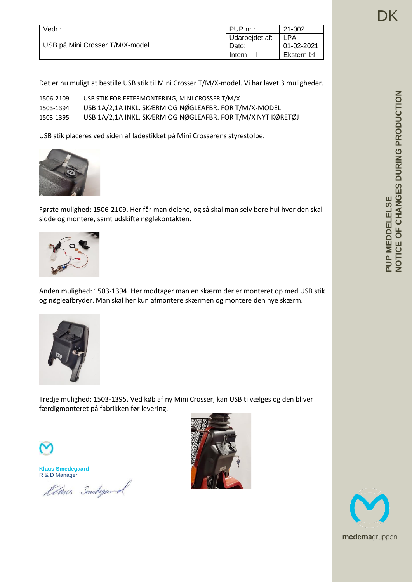| Vedr.:                          | PUP nr.:       | 21-002              |
|---------------------------------|----------------|---------------------|
| USB på Mini Crosser T/M/X-model | Udarbeidet af: | LPA                 |
|                                 | Dato:          | 01-02-2021          |
|                                 | Intern         | Ekstern $\boxtimes$ |

Det er nu muligt at bestille USB stik til Mini Crosser T/M/X-model. Vi har lavet 3 muligheder.

| 1506-2109 | USB STIK FOR EFTERMONTERING, MINI CROSSER T/M/X             |
|-----------|-------------------------------------------------------------|
| 1503-1394 | USB 1A/2,1A INKL. SKÆRM OG NØGLEAFBR. FOR T/M/X-MODEL       |
| 1503-1395 | USB 1A/2,1A INKL. SKÆRM OG NØGLEAFBR. FOR T/M/X NYT KØRETØJ |

USB stik placeres ved siden af ladestikket på Mini Crosserens styrestolpe.



Første mulighed: 1506-2109. Her får man delene, og så skal man selv bore hul hvor den skal sidde og montere, samt udskifte nøglekontakten.



Anden mulighed: 1503-1394. Her modtager man en skærm der er monteret op med USB stik og nøgleafbryder. Man skal her kun afmontere skærmen og montere den nye skærm.



Tredje mulighed: 1503-1395. Ved køb af ny Mini Crosser, kan USB tilvælges og den bliver færdigmonteret på fabrikken før levering.

**Klaus Smedegaard** R & D Manager

Klans Smedegand



DK